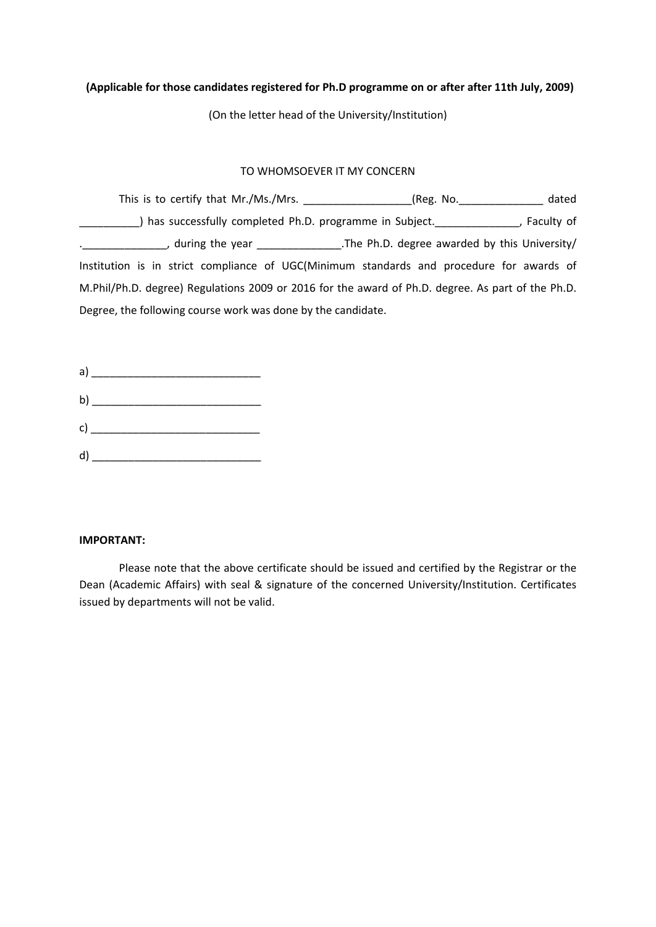# **(Applicable for those candidates registered for Ph.D programme on or after after 11th July, 2009)**

(On the letter head of the University/Institution)

### TO WHOMSOEVER IT MY CONCERN

| This is to certify that Mr./Ms./Mrs.                                                              | (Reg. No.                                                   | dated      |
|---------------------------------------------------------------------------------------------------|-------------------------------------------------------------|------------|
| has successfully completed Ph.D. programme in Subject.                                            |                                                             | Faculty of |
|                                                                                                   | during the year The Ph.D. degree awarded by this University |            |
| Institution is in strict compliance of UGC(Minimum standards and procedure for awards of          |                                                             |            |
| M.Phil/Ph.D. degree) Regulations 2009 or 2016 for the award of Ph.D. degree. As part of the Ph.D. |                                                             |            |
| Degree, the following course work was done by the candidate.                                      |                                                             |            |

| a                                                                                                                                                                                                                                                                                                                                               |  |
|-------------------------------------------------------------------------------------------------------------------------------------------------------------------------------------------------------------------------------------------------------------------------------------------------------------------------------------------------|--|
| b) $\qquad \qquad$ $\qquad \qquad$ $\qquad$ $\qquad$ $\qquad$ $\qquad$ $\qquad$ $\qquad$ $\qquad$ $\qquad$ $\qquad$ $\qquad$ $\qquad$ $\qquad$ $\qquad$ $\qquad$ $\qquad$ $\qquad$ $\qquad$ $\qquad$ $\qquad$ $\qquad$ $\qquad$ $\qquad$ $\qquad$ $\qquad$ $\qquad$ $\qquad$ $\qquad$ $\qquad$ $\qquad$ $\qquad$ $\qquad$ $\qquad$ $\qquad$ $\$ |  |
| $\mathsf{c)}$ and $\mathsf{c}$                                                                                                                                                                                                                                                                                                                  |  |
| d                                                                                                                                                                                                                                                                                                                                               |  |

#### **IMPORTANT:**

Please note that the above certificate should be issued and certified by the Registrar or the Dean (Academic Affairs) with seal & signature of the concerned University/Institution. Certificates issued by departments will not be valid.